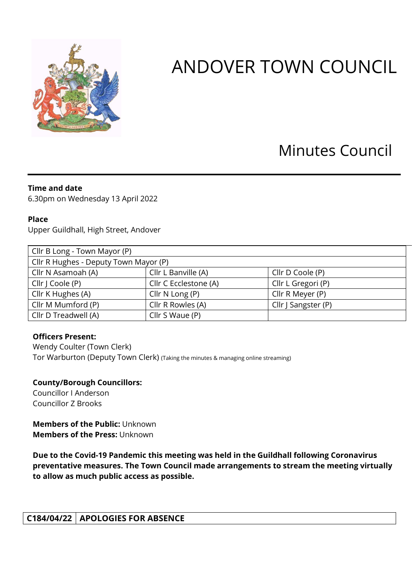

# ANDOVER TOWN COUNCIL

# Minutes Council

# **Time and date**

6.30pm on Wednesday 13 April 2022

#### **Place**

Upper Guildhall, High Street, Andover

| Cllr B Long - Town Mayor (P)          |                       |                     |
|---------------------------------------|-----------------------|---------------------|
| Cllr R Hughes - Deputy Town Mayor (P) |                       |                     |
| Cllr N Asamoah (A)                    | Cllr L Banville (A)   | Cllr D Coole (P)    |
| Cllr   Coole (P)                      | Cllr C Ecclestone (A) | Cllr L Gregori (P)  |
| Cllr K Hughes (A)                     | Cllr $N$ Long $(P)$   | Cllr R Meyer (P)    |
| Cllr M Mumford (P)                    | Cllr R Rowles (A)     | Cllr J Sangster (P) |
| Cllr D Treadwell (A)                  | Cllr S Waue (P)       |                     |

# **Officers Present:**

Wendy Coulter (Town Clerk) Tor Warburton (Deputy Town Clerk) (Taking the minutes & managing online streaming)

# **County/Borough Councillors:**

Councillor I Anderson Councillor Z Brooks

**Members of the Public:** Unknown **Members of the Press:** Unknown

**Due to the Covid-19 Pandemic this meeting was held in the Guildhall following Coronavirus preventative measures. The Town Council made arrangements to stream the meeting virtually to allow as much public access as possible.** 

**C184/04/22 APOLOGIES FOR ABSENCE**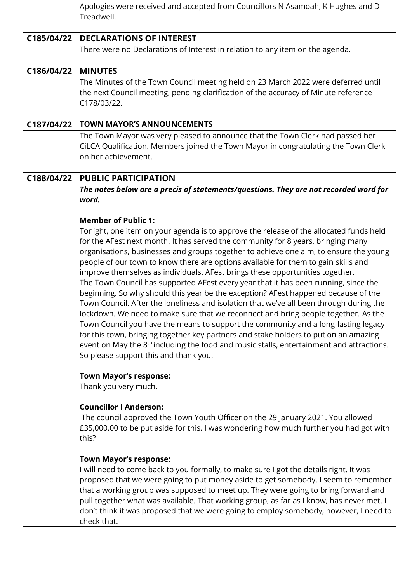|            | Apologies were received and accepted from Councillors N Asamoah, K Hughes and D<br>Treadwell.                                                                                                                                                                                                                                                                                                                                                                                                                                                                                                                                                                                                                                                                                                                                                                                                                                                                                                                                                                                                                                                                         |
|------------|-----------------------------------------------------------------------------------------------------------------------------------------------------------------------------------------------------------------------------------------------------------------------------------------------------------------------------------------------------------------------------------------------------------------------------------------------------------------------------------------------------------------------------------------------------------------------------------------------------------------------------------------------------------------------------------------------------------------------------------------------------------------------------------------------------------------------------------------------------------------------------------------------------------------------------------------------------------------------------------------------------------------------------------------------------------------------------------------------------------------------------------------------------------------------|
| C185/04/22 | <b>DECLARATIONS OF INTEREST</b>                                                                                                                                                                                                                                                                                                                                                                                                                                                                                                                                                                                                                                                                                                                                                                                                                                                                                                                                                                                                                                                                                                                                       |
|            | There were no Declarations of Interest in relation to any item on the agenda.                                                                                                                                                                                                                                                                                                                                                                                                                                                                                                                                                                                                                                                                                                                                                                                                                                                                                                                                                                                                                                                                                         |
| C186/04/22 | <b>MINUTES</b>                                                                                                                                                                                                                                                                                                                                                                                                                                                                                                                                                                                                                                                                                                                                                                                                                                                                                                                                                                                                                                                                                                                                                        |
|            | The Minutes of the Town Council meeting held on 23 March 2022 were deferred until<br>the next Council meeting, pending clarification of the accuracy of Minute reference<br>C178/03/22.                                                                                                                                                                                                                                                                                                                                                                                                                                                                                                                                                                                                                                                                                                                                                                                                                                                                                                                                                                               |
| C187/04/22 | <b>TOWN MAYOR'S ANNOUNCEMENTS</b>                                                                                                                                                                                                                                                                                                                                                                                                                                                                                                                                                                                                                                                                                                                                                                                                                                                                                                                                                                                                                                                                                                                                     |
|            | The Town Mayor was very pleased to announce that the Town Clerk had passed her<br>CiLCA Qualification. Members joined the Town Mayor in congratulating the Town Clerk<br>on her achievement.                                                                                                                                                                                                                                                                                                                                                                                                                                                                                                                                                                                                                                                                                                                                                                                                                                                                                                                                                                          |
| C188/04/22 | <b>PUBLIC PARTICIPATION</b>                                                                                                                                                                                                                                                                                                                                                                                                                                                                                                                                                                                                                                                                                                                                                                                                                                                                                                                                                                                                                                                                                                                                           |
|            | The notes below are a precis of statements/questions. They are not recorded word for<br>word.                                                                                                                                                                                                                                                                                                                                                                                                                                                                                                                                                                                                                                                                                                                                                                                                                                                                                                                                                                                                                                                                         |
|            | <b>Member of Public 1:</b><br>Tonight, one item on your agenda is to approve the release of the allocated funds held<br>for the AFest next month. It has served the community for 8 years, bringing many<br>organisations, businesses and groups together to achieve one aim, to ensure the young<br>people of our town to know there are options available for them to gain skills and<br>improve themselves as individuals. AFest brings these opportunities together.<br>The Town Council has supported AFest every year that it has been running, since the<br>beginning. So why should this year be the exception? AFest happened because of the<br>Town Council. After the loneliness and isolation that we've all been through during the<br>lockdown. We need to make sure that we reconnect and bring people together. As the<br>Town Council you have the means to support the community and a long-lasting legacy<br>for this town, bringing together key partners and stake holders to put on an amazing<br>event on May the 8 <sup>th</sup> including the food and music stalls, entertainment and attractions.<br>So please support this and thank you. |
|            | <b>Town Mayor's response:</b><br>Thank you very much.<br><b>Councillor I Anderson:</b><br>The council approved the Town Youth Officer on the 29 January 2021. You allowed                                                                                                                                                                                                                                                                                                                                                                                                                                                                                                                                                                                                                                                                                                                                                                                                                                                                                                                                                                                             |
|            | £35,000.00 to be put aside for this. I was wondering how much further you had got with<br>this?<br><b>Town Mayor's response:</b><br>I will need to come back to you formally, to make sure I got the details right. It was<br>proposed that we were going to put money aside to get somebody. I seem to remember<br>that a working group was supposed to meet up. They were going to bring forward and<br>pull together what was available. That working group, as far as I know, has never met. I                                                                                                                                                                                                                                                                                                                                                                                                                                                                                                                                                                                                                                                                    |
|            | don't think it was proposed that we were going to employ somebody, however, I need to<br>check that.                                                                                                                                                                                                                                                                                                                                                                                                                                                                                                                                                                                                                                                                                                                                                                                                                                                                                                                                                                                                                                                                  |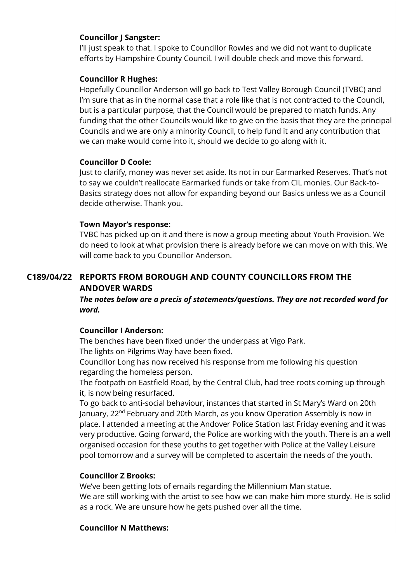|            | <b>Councillor J Sangster:</b>                                                                                                                                                                                                                                                                                                                                                                                                                                                                                                                                               |
|------------|-----------------------------------------------------------------------------------------------------------------------------------------------------------------------------------------------------------------------------------------------------------------------------------------------------------------------------------------------------------------------------------------------------------------------------------------------------------------------------------------------------------------------------------------------------------------------------|
|            | I'll just speak to that. I spoke to Councillor Rowles and we did not want to duplicate<br>efforts by Hampshire County Council. I will double check and move this forward.                                                                                                                                                                                                                                                                                                                                                                                                   |
|            | <b>Councillor R Hughes:</b><br>Hopefully Councillor Anderson will go back to Test Valley Borough Council (TVBC) and<br>I'm sure that as in the normal case that a role like that is not contracted to the Council,<br>but is a particular purpose, that the Council would be prepared to match funds. Any<br>funding that the other Councils would like to give on the basis that they are the principal<br>Councils and we are only a minority Council, to help fund it and any contribution that<br>we can make would come into it, should we decide to go along with it. |
|            | <b>Councillor D Coole:</b>                                                                                                                                                                                                                                                                                                                                                                                                                                                                                                                                                  |
|            | Just to clarify, money was never set aside. Its not in our Earmarked Reserves. That's not<br>to say we couldn't reallocate Earmarked funds or take from CIL monies. Our Back-to-<br>Basics strategy does not allow for expanding beyond our Basics unless we as a Council<br>decide otherwise. Thank you.                                                                                                                                                                                                                                                                   |
|            | <b>Town Mayor's response:</b>                                                                                                                                                                                                                                                                                                                                                                                                                                                                                                                                               |
|            | TVBC has picked up on it and there is now a group meeting about Youth Provision. We<br>do need to look at what provision there is already before we can move on with this. We                                                                                                                                                                                                                                                                                                                                                                                               |
|            | will come back to you Councillor Anderson.                                                                                                                                                                                                                                                                                                                                                                                                                                                                                                                                  |
| C189/04/22 | REPORTS FROM BOROUGH AND COUNTY COUNCILLORS FROM THE                                                                                                                                                                                                                                                                                                                                                                                                                                                                                                                        |
|            |                                                                                                                                                                                                                                                                                                                                                                                                                                                                                                                                                                             |
|            | <b>ANDOVER WARDS</b>                                                                                                                                                                                                                                                                                                                                                                                                                                                                                                                                                        |
|            | The notes below are a precis of statements/questions. They are not recorded word for                                                                                                                                                                                                                                                                                                                                                                                                                                                                                        |
|            | word.                                                                                                                                                                                                                                                                                                                                                                                                                                                                                                                                                                       |
|            | <b>Councillor I Anderson:</b>                                                                                                                                                                                                                                                                                                                                                                                                                                                                                                                                               |
|            | The benches have been fixed under the underpass at Vigo Park.<br>The lights on Pilgrims Way have been fixed.                                                                                                                                                                                                                                                                                                                                                                                                                                                                |
|            | Councillor Long has now received his response from me following his question                                                                                                                                                                                                                                                                                                                                                                                                                                                                                                |
|            | regarding the homeless person.<br>The footpath on Eastfield Road, by the Central Club, had tree roots coming up through<br>it, is now being resurfaced.                                                                                                                                                                                                                                                                                                                                                                                                                     |
|            | To go back to anti-social behaviour, instances that started in St Mary's Ward on 20th<br>January, 22 <sup>nd</sup> February and 20th March, as you know Operation Assembly is now in<br>place. I attended a meeting at the Andover Police Station last Friday evening and it was<br>very productive. Going forward, the Police are working with the youth. There is an a well<br>organised occasion for these youths to get together with Police at the Valley Leisure<br>pool tomorrow and a survey will be completed to ascertain the needs of the youth.                 |
|            | <b>Councillor Z Brooks:</b><br>We've been getting lots of emails regarding the Millennium Man statue.<br>We are still working with the artist to see how we can make him more sturdy. He is solid<br>as a rock. We are unsure how he gets pushed over all the time.                                                                                                                                                                                                                                                                                                         |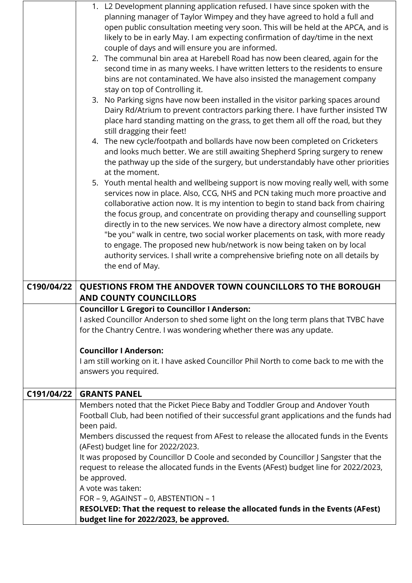|            | 1. L2 Development planning application refused. I have since spoken with the                                               |
|------------|----------------------------------------------------------------------------------------------------------------------------|
|            | planning manager of Taylor Wimpey and they have agreed to hold a full and                                                  |
|            | open public consultation meeting very soon. This will be held at the APCA, and is                                          |
|            | likely to be in early May. I am expecting confirmation of day/time in the next                                             |
|            | couple of days and will ensure you are informed.                                                                           |
|            | 2. The communal bin area at Harebell Road has now been cleared, again for the                                              |
|            | second time in as many weeks. I have written letters to the residents to ensure                                            |
|            | bins are not contaminated. We have also insisted the management company                                                    |
|            | stay on top of Controlling it.                                                                                             |
|            | 3. No Parking signs have now been installed in the visitor parking spaces around                                           |
|            | Dairy Rd/Atrium to prevent contractors parking there. I have further insisted TW                                           |
|            | place hard standing matting on the grass, to get them all off the road, but they                                           |
|            | still dragging their feet!                                                                                                 |
|            | 4. The new cycle/footpath and bollards have now been completed on Cricketers                                               |
|            | and looks much better. We are still awaiting Shepherd Spring surgery to renew                                              |
|            | the pathway up the side of the surgery, but understandably have other priorities<br>at the moment.                         |
|            | 5. Youth mental health and wellbeing support is now moving really well, with some                                          |
|            | services now in place. Also, CCG, NHS and PCN taking much more proactive and                                               |
|            | collaborative action now. It is my intention to begin to stand back from chairing                                          |
|            | the focus group, and concentrate on providing therapy and counselling support                                              |
|            | directly in to the new services. We now have a directory almost complete, new                                              |
|            | "be you" walk in centre, two social worker placements on task, with more ready                                             |
|            | to engage. The proposed new hub/network is now being taken on by local                                                     |
|            | authority services. I shall write a comprehensive briefing note on all details by                                          |
|            | the end of May.                                                                                                            |
|            |                                                                                                                            |
| C190/04/22 | QUESTIONS FROM THE ANDOVER TOWN COUNCILLORS TO THE BOROUGH                                                                 |
|            | <b>AND COUNTY COUNCILLORS</b>                                                                                              |
|            | <b>Councillor L Gregori to Councillor I Anderson:</b>                                                                      |
|            | I asked Councillor Anderson to shed some light on the long term plans that TVBC have                                       |
|            | for the Chantry Centre. I was wondering whether there was any update.                                                      |
|            |                                                                                                                            |
|            | <b>Councillor I Anderson:</b>                                                                                              |
|            | I am still working on it. I have asked Councillor Phil North to come back to me with the                                   |
|            | answers you required.                                                                                                      |
|            |                                                                                                                            |
| C191/04/22 | <b>GRANTS PANEL</b>                                                                                                        |
|            | Members noted that the Picket Piece Baby and Toddler Group and Andover Youth                                               |
|            | Football Club, had been notified of their successful grant applications and the funds had                                  |
|            | been paid.                                                                                                                 |
|            | Members discussed the request from AFest to release the allocated funds in the Events                                      |
|            | (AFest) budget line for 2022/2023.                                                                                         |
|            | It was proposed by Councillor D Coole and seconded by Councillor J Sangster that the                                       |
|            | request to release the allocated funds in the Events (AFest) budget line for 2022/2023,                                    |
|            | be approved.<br>A vote was taken:                                                                                          |
|            | FOR - 9, AGAINST - 0, ABSTENTION - 1                                                                                       |
|            |                                                                                                                            |
|            |                                                                                                                            |
|            | RESOLVED: That the request to release the allocated funds in the Events (AFest)<br>budget line for 2022/2023, be approved. |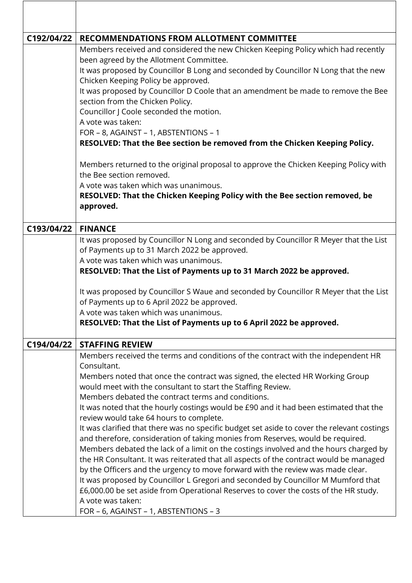| C192/04/22 | <b>RECOMMENDATIONS FROM ALLOTMENT COMMITTEE</b>                                                                                                                                |
|------------|--------------------------------------------------------------------------------------------------------------------------------------------------------------------------------|
|            | Members received and considered the new Chicken Keeping Policy which had recently<br>been agreed by the Allotment Committee.                                                   |
|            | It was proposed by Councillor B Long and seconded by Councillor N Long that the new<br>Chicken Keeping Policy be approved.                                                     |
|            | It was proposed by Councillor D Coole that an amendment be made to remove the Bee<br>section from the Chicken Policy.                                                          |
|            | Councillor J Coole seconded the motion.<br>A vote was taken:                                                                                                                   |
|            | FOR - 8, AGAINST - 1, ABSTENTIONS - 1                                                                                                                                          |
|            | RESOLVED: That the Bee section be removed from the Chicken Keeping Policy.                                                                                                     |
|            | Members returned to the original proposal to approve the Chicken Keeping Policy with<br>the Bee section removed.                                                               |
|            | A vote was taken which was unanimous.<br>RESOLVED: That the Chicken Keeping Policy with the Bee section removed, be<br>approved.                                               |
| C193/04/22 | <b>FINANCE</b>                                                                                                                                                                 |
|            | It was proposed by Councillor N Long and seconded by Councillor R Meyer that the List                                                                                          |
|            | of Payments up to 31 March 2022 be approved.                                                                                                                                   |
|            | A vote was taken which was unanimous.<br>RESOLVED: That the List of Payments up to 31 March 2022 be approved.                                                                  |
|            |                                                                                                                                                                                |
|            | It was proposed by Councillor S Waue and seconded by Councillor R Meyer that the List<br>of Payments up to 6 April 2022 be approved.                                           |
|            | A vote was taken which was unanimous.                                                                                                                                          |
|            | RESOLVED: That the List of Payments up to 6 April 2022 be approved.                                                                                                            |
| C194/04/22 | <b>STAFFING REVIEW</b>                                                                                                                                                         |
|            | Members received the terms and conditions of the contract with the independent HR<br>Consultant.                                                                               |
|            | Members noted that once the contract was signed, the elected HR Working Group                                                                                                  |
|            | would meet with the consultant to start the Staffing Review.<br>Members debated the contract terms and conditions.                                                             |
|            | It was noted that the hourly costings would be £90 and it had been estimated that the                                                                                          |
|            | review would take 64 hours to complete.                                                                                                                                        |
|            | It was clarified that there was no specific budget set aside to cover the relevant costings<br>and therefore, consideration of taking monies from Reserves, would be required. |
|            | Members debated the lack of a limit on the costings involved and the hours charged by                                                                                          |
|            | the HR Consultant. It was reiterated that all aspects of the contract would be managed                                                                                         |
|            | by the Officers and the urgency to move forward with the review was made clear.                                                                                                |
|            | It was proposed by Councillor L Gregori and seconded by Councillor M Mumford that<br>£6,000.00 be set aside from Operational Reserves to cover the costs of the HR study.      |
|            | A vote was taken:                                                                                                                                                              |
|            | FOR - 6, AGAINST - 1, ABSTENTIONS - 3                                                                                                                                          |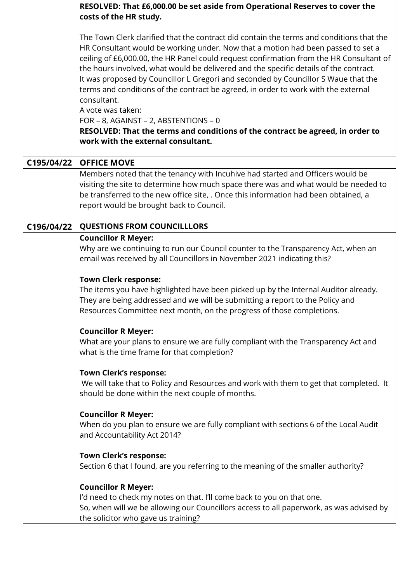|            | RESOLVED: That £6,000.00 be set aside from Operational Reserves to cover the<br>costs of the HR study.                                                                                                                                                                                                                                                                                                                                                                                                                                                                                                                                                                                                                                            |
|------------|---------------------------------------------------------------------------------------------------------------------------------------------------------------------------------------------------------------------------------------------------------------------------------------------------------------------------------------------------------------------------------------------------------------------------------------------------------------------------------------------------------------------------------------------------------------------------------------------------------------------------------------------------------------------------------------------------------------------------------------------------|
|            | The Town Clerk clarified that the contract did contain the terms and conditions that the<br>HR Consultant would be working under. Now that a motion had been passed to set a<br>ceiling of £6,000.00, the HR Panel could request confirmation from the HR Consultant of<br>the hours involved, what would be delivered and the specific details of the contract.<br>It was proposed by Councillor L Gregori and seconded by Councillor S Waue that the<br>terms and conditions of the contract be agreed, in order to work with the external<br>consultant.<br>A vote was taken:<br>FOR - 8, AGAINST - 2, ABSTENTIONS - 0<br>RESOLVED: That the terms and conditions of the contract be agreed, in order to<br>work with the external consultant. |
| C195/04/22 | <b>OFFICE MOVE</b>                                                                                                                                                                                                                                                                                                                                                                                                                                                                                                                                                                                                                                                                                                                                |
|            | Members noted that the tenancy with Incuhive had started and Officers would be<br>visiting the site to determine how much space there was and what would be needed to<br>be transferred to the new office site, . Once this information had been obtained, a<br>report would be brought back to Council.                                                                                                                                                                                                                                                                                                                                                                                                                                          |
| C196/04/22 | <b>QUESTIONS FROM COUNCILLLORS</b>                                                                                                                                                                                                                                                                                                                                                                                                                                                                                                                                                                                                                                                                                                                |
|            | <b>Councillor R Meyer:</b><br>Why are we continuing to run our Council counter to the Transparency Act, when an<br>email was received by all Councillors in November 2021 indicating this?                                                                                                                                                                                                                                                                                                                                                                                                                                                                                                                                                        |
|            | <b>Town Clerk response:</b><br>The items you have highlighted have been picked up by the Internal Auditor already.<br>They are being addressed and we will be submitting a report to the Policy and<br>Resources Committee next month, on the progress of those completions.                                                                                                                                                                                                                                                                                                                                                                                                                                                                      |
|            | <b>Councillor R Meyer:</b><br>What are your plans to ensure we are fully compliant with the Transparency Act and<br>what is the time frame for that completion?                                                                                                                                                                                                                                                                                                                                                                                                                                                                                                                                                                                   |
|            | <b>Town Clerk's response:</b><br>We will take that to Policy and Resources and work with them to get that completed. It<br>should be done within the next couple of months.                                                                                                                                                                                                                                                                                                                                                                                                                                                                                                                                                                       |
|            | <b>Councillor R Meyer:</b><br>When do you plan to ensure we are fully compliant with sections 6 of the Local Audit<br>and Accountability Act 2014?                                                                                                                                                                                                                                                                                                                                                                                                                                                                                                                                                                                                |
|            | <b>Town Clerk's response:</b><br>Section 6 that I found, are you referring to the meaning of the smaller authority?                                                                                                                                                                                                                                                                                                                                                                                                                                                                                                                                                                                                                               |
|            | <b>Councillor R Meyer:</b><br>I'd need to check my notes on that. I'll come back to you on that one.<br>So, when will we be allowing our Councillors access to all paperwork, as was advised by<br>the solicitor who gave us training?                                                                                                                                                                                                                                                                                                                                                                                                                                                                                                            |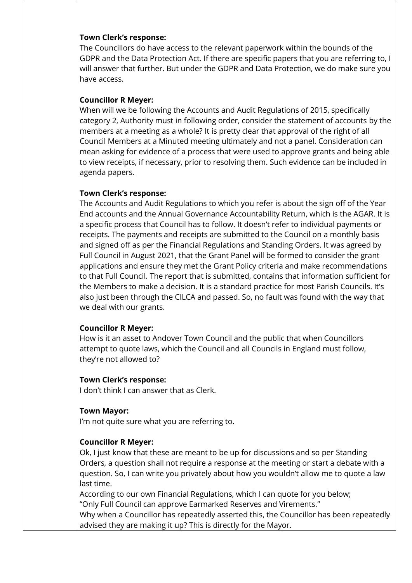#### **Town Clerk's response:**

The Councillors do have access to the relevant paperwork within the bounds of the GDPR and the Data Protection Act. If there are specific papers that you are referring to, I will answer that further. But under the GDPR and Data Protection, we do make sure you have access.

# **Councillor R Meyer:**

When will we be following the Accounts and Audit Regulations of 2015, specifically category 2, Authority must in following order, consider the statement of accounts by the members at a meeting as a whole? It is pretty clear that approval of the right of all Council Members at a Minuted meeting ultimately and not a panel. Consideration can mean asking for evidence of a process that were used to approve grants and being able to view receipts, if necessary, prior to resolving them. Such evidence can be included in agenda papers.

# **Town Clerk's response:**

The Accounts and Audit Regulations to which you refer is about the sign off of the Year End accounts and the Annual Governance Accountability Return, which is the AGAR. It is a specific process that Council has to follow. It doesn't refer to individual payments or receipts. The payments and receipts are submitted to the Council on a monthly basis and signed off as per the Financial Regulations and Standing Orders. It was agreed by Full Council in August 2021, that the Grant Panel will be formed to consider the grant applications and ensure they met the Grant Policy criteria and make recommendations to that Full Council. The report that is submitted, contains that information sufficient for the Members to make a decision. It is a standard practice for most Parish Councils. It's also just been through the CILCA and passed. So, no fault was found with the way that we deal with our grants.

# **Councillor R Meyer:**

How is it an asset to Andover Town Council and the public that when Councillors attempt to quote laws, which the Council and all Councils in England must follow, they're not allowed to?

# **Town Clerk's response:**

I don't think I can answer that as Clerk.

# **Town Mayor:**

I'm not quite sure what you are referring to.

# **Councillor R Meyer:**

Ok, I just know that these are meant to be up for discussions and so per Standing Orders, a question shall not require a response at the meeting or start a debate with a question. So, I can write you privately about how you wouldn't allow me to quote a law last time.

According to our own Financial Regulations, which I can quote for you below; "Only Full Council can approve Earmarked Reserves and Virements."

Why when a Councillor has repeatedly asserted this, the Councillor has been repeatedly advised they are making it up? This is directly for the Mayor.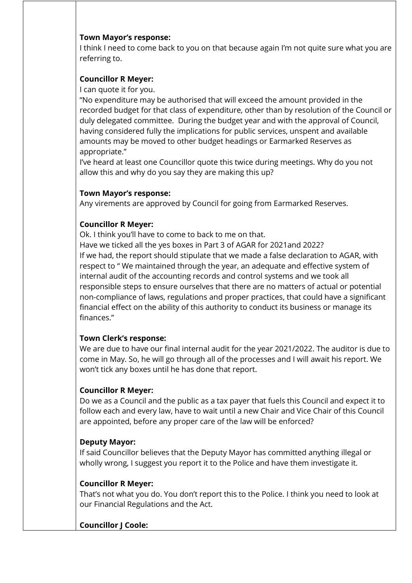#### **Town Mayor's response:**

I think I need to come back to you on that because again I'm not quite sure what you are referring to.

# **Councillor R Meyer:**

I can quote it for you.

"No expenditure may be authorised that will exceed the amount provided in the recorded budget for that class of expenditure, other than by resolution of the Council or duly delegated committee. During the budget year and with the approval of Council, having considered fully the implications for public services, unspent and available amounts may be moved to other budget headings or Earmarked Reserves as appropriate."

I've heard at least one Councillor quote this twice during meetings. Why do you not allow this and why do you say they are making this up?

# **Town Mayor's response:**

Any virements are approved by Council for going from Earmarked Reserves.

# **Councillor R Meyer:**

Ok. I think you'll have to come to back to me on that. Have we ticked all the yes boxes in Part 3 of AGAR for 2021and 2022? If we had, the report should stipulate that we made a false declaration to AGAR, with respect to " We maintained through the year, an adequate and effective system of internal audit of the accounting records and control systems and we took all responsible steps to ensure ourselves that there are no matters of actual or potential non-compliance of laws, regulations and proper practices, that could have a significant financial effect on the ability of this authority to conduct its business or manage its finances."

# **Town Clerk's response:**

We are due to have our final internal audit for the year 2021/2022. The auditor is due to come in May. So, he will go through all of the processes and I will await his report. We won't tick any boxes until he has done that report.

# **Councillor R Meyer:**

Do we as a Council and the public as a tax payer that fuels this Council and expect it to follow each and every law, have to wait until a new Chair and Vice Chair of this Council are appointed, before any proper care of the law will be enforced?

# **Deputy Mayor:**

If said Councillor believes that the Deputy Mayor has committed anything illegal or wholly wrong, I suggest you report it to the Police and have them investigate it.

# **Councillor R Meyer:**

That's not what you do. You don't report this to the Police. I think you need to look at our Financial Regulations and the Act.

# **Councillor J Coole:**